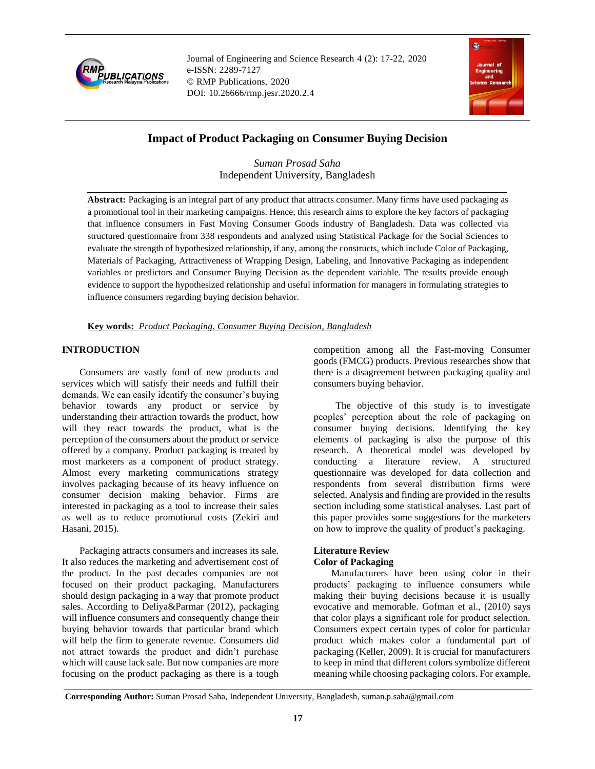

Journal of Engineering and Science Research 4 (2): 17-22, 2020 e-ISSN: 2289-7127 © RMP Publications, 2020 DOI: 10.26666/rmp.jesr.2020.2.4



# **Impact of Product Packaging on Consumer Buying Decision**

*Suman Prosad Saha* Independent University, Bangladesh

**Abstract:** Packaging is an integral part of any product that attracts consumer. Many firms have used packaging as a promotional tool in their marketing campaigns. Hence, this research aims to explore the key factors of packaging that influence consumers in Fast Moving Consumer Goods industry of Bangladesh. Data was collected via structured questionnaire from 338 respondents and analyzed using Statistical Package for the Social Sciences to evaluate the strength of hypothesized relationship, if any, among the constructs, which include Color of Packaging, Materials of Packaging, Attractiveness of Wrapping Design, Labeling, and Innovative Packaging as independent variables or predictors and Consumer Buying Decision as the dependent variable. The results provide enough evidence to support the hypothesized relationship and useful information for managers in formulating strategies to influence consumers regarding buying decision behavior.

## **Key words:** *Product Packaging, Consumer Buying Decision, Bangladesh*

## **INTRODUCTION**

Consumers are vastly fond of new products and services which will satisfy their needs and fulfill their demands. We can easily identify the consumer's buying behavior towards any product or service by understanding their attraction towards the product, how will they react towards the product, what is the perception of the consumers about the product or service offered by a company. Product packaging is treated by most marketers as a component of product strategy. Almost every marketing communications strategy involves packaging because of its heavy influence on consumer decision making behavior. Firms are interested in packaging as a tool to increase their sales as well as to reduce promotional costs (Zekiri and Hasani, 2015).

Packaging attracts consumers and increases its sale. It also reduces the marketing and advertisement cost of the product. In the past decades companies are not focused on their product packaging. Manufacturers should design packaging in a way that promote product sales. According to Deliya&Parmar (2012), packaging will influence consumers and consequently change their buying behavior towards that particular brand which will help the firm to generate revenue. Consumers did not attract towards the product and didn't purchase which will cause lack sale. But now companies are more focusing on the product packaging as there is a tough competition among all the Fast-moving Consumer goods (FMCG) products. Previous researches show that there is a disagreement between packaging quality and consumers buying behavior.

 The objective of this study is to investigate peoples' perception about the role of packaging on consumer buying decisions. Identifying the key elements of packaging is also the purpose of this research. A theoretical model was developed by conducting a literature review. A structured questionnaire was developed for data collection and respondents from several distribution firms were selected. Analysis and finding are provided in the results section including some statistical analyses. Last part of this paper provides some suggestions for the marketers on how to improve the quality of product's packaging.

### **Literature Review Color of Packaging**

Manufacturers have been using color in their products' packaging to influence consumers while making their buying decisions because it is usually evocative and memorable. Gofman et al., (2010) says that color plays a significant role for product selection. Consumers expect certain types of color for particular product which makes color a fundamental part of packaging (Keller, 2009). It is crucial for manufacturers to keep in mind that different colors symbolize different meaning while choosing packaging colors. For example,

**Corresponding Author:** Suman Prosad Saha, Independent University, Bangladesh, suman.p.saha@gmail.com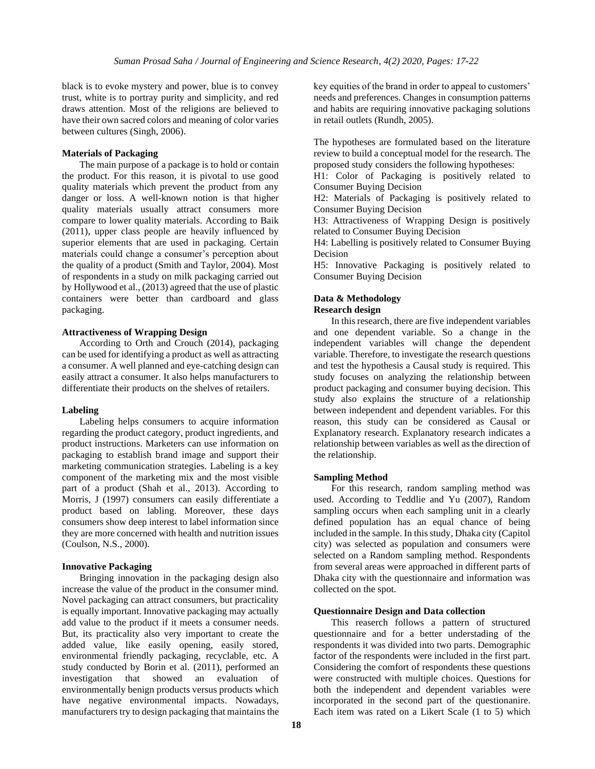black is to evoke mystery and power, blue is to convey trust, white is to portray purity and simplicity, and red draws attention. Most of the religions are believed to have their own sacred colors and meaning of color varies between cultures (Singh, 2006).

### **Materials of Packaging**

The main purpose of a package is to hold or contain the product. For this reason, it is pivotal to use good quality materials which prevent the product from any danger or loss. A well-known notion is that higher quality materials usually attract consumers more compare to lower quality materials. According to Baik (2011), upper class people are heavily influenced by superior elements that are used in packaging. Certain materials could change a consumer's perception about the quality of a product (Smith and Taylor, 2004). Most of respondents in a study on milk packaging carried out by Hollywood et al., (2013) agreed that the use of plastic containers were better than cardboard and glass packaging.

#### **Attractiveness of Wrapping Design**

According to Orth and Crouch (2014), packaging can be used for identifying a product as well as attracting a consumer. A well planned and eye-catching design can easily attract a consumer. It also helps manufacturers to differentiate their products on the shelves of retailers.

### **Labeling**

Labeling helps consumers to acquire information regarding the product category, product ingredients, and product instructions. Marketers can use information on packaging to establish brand image and support their marketing communication strategies. Labeling is a key component of the marketing mix and the most visible part of a product (Shah et al., 2013). According to Morris, J (1997) consumers can easily differentiate a product based on labling. Moreover, these days consumers show deep interest to label information since they are more concerned with health and nutrition issues (Coulson, N.S., 2000).

### **Innovative Packaging**

Bringing innovation in the packaging design also increase the value of the product in the consumer mind. Novel packaging can attract consumers, but practicality is equally important. Innovative packaging may actually add value to the product if it meets a consumer needs. But, its practicality also very important to create the added value, like easily opening, easily stored, environmental friendly packaging, recyclable, etc. A study conducted by Borin et al. (2011), performed an investigation that showed an evaluation of environmentally benign products versus products which have negative environmental impacts. Nowadays, manufacturers try to design packaging that maintains the

key equities of the brand in order to appeal to customers' needs and preferences. Changes in consumption patterns and habits are requiring innovative packaging solutions in retail outlets (Rundh, 2005).

The hypotheses are formulated based on the literature review to build a conceptual model for the research. The proposed study considers the following hypotheses:

H1: Color of Packaging is positively related to Consumer Buying Decision

H2: Materials of Packaging is positively related to Consumer Buying Decision

H3: Attractiveness of Wrapping Design is positively related to Consumer Buying Decision

H4: Labelling is positively related to Consumer Buying Decision

H5: Innovative Packaging is positively related to Consumer Buying Decision

## **Data & Methodology**

### **Research design**

In this research, there are five independent variables and one dependent variable. So a change in the independent variables will change the dependent variable. Therefore, to investigate the research questions and test the hypothesis a Causal study is required. This study focuses on analyzing the relationship between product packaging and consumer buying decision. This study also explains the structure of a relationship between independent and dependent variables. For this reason, this study can be considered as Causal or Explanatory research. Explanatory research indicates a relationship between variables as well as the direction of the relationship.

### **Sampling Method**

For this research, random sampling method was used. According to Teddlie and Yu (2007), Random sampling occurs when each sampling unit in a clearly defined population has an equal chance of being included in the sample. In this study, Dhaka city (Capitol city) was selected as population and consumers were selected on a Random sampling method. Respondents from several areas were approached in different parts of Dhaka city with the questionnaire and information was collected on the spot.

#### **Questionnaire Design and Data collection**

This reaserch follows a pattern of structured questionnaire and for a better understading of the respondents it was divided into two parts. Demographic factor of the respondents were included in the first part. Considering the comfort of respondents these questions were constructed with multiple choices. Questions for both the independent and dependent variables were incorporated in the second part of the questionanire. Each item was rated on a Likert Scale (1 to 5) which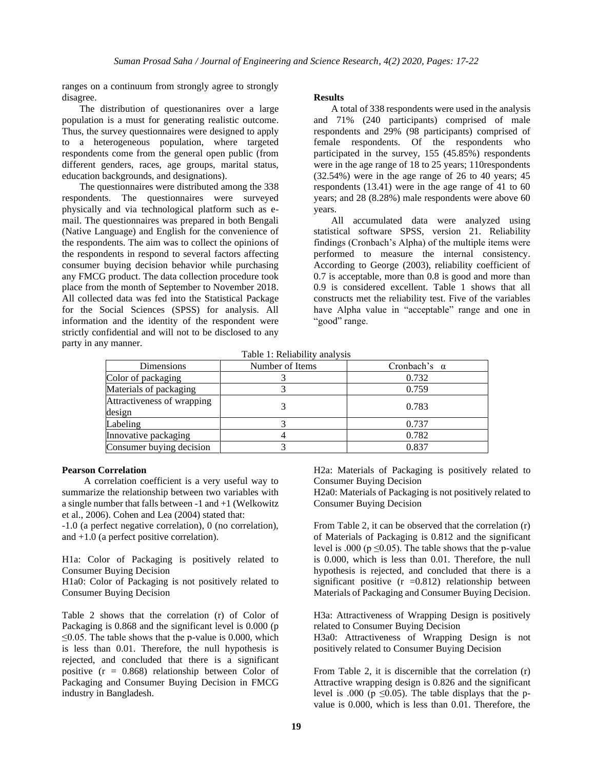ranges on a continuum from strongly agree to strongly disagree.

The distribution of questionanires over a large population is a must for generating realistic outcome. Thus, the survey questionnaires were designed to apply to a heterogeneous population, where targeted respondents come from the general open public (from different genders, races, age groups, marital status, education backgrounds, and designations).

The questionnaires were distributed among the 338 respondents. The questionnaires were surveyed physically and via technological platform such as email. The questionnaires was prepared in both Bengali (Native Language) and English for the convenience of the respondents. The aim was to collect the opinions of the respondents in respond to several factors affecting consumer buying decision behavior while purchasing any FMCG product. The data collection procedure took place from the month of September to November 2018. All collected data was fed into the Statistical Package for the Social Sciences (SPSS) for analysis. All information and the identity of the respondent were strictly confidential and will not to be disclosed to any party in any manner.

### **Results**

A total of 338 respondents were used in the analysis and 71% (240 participants) comprised of male respondents and 29% (98 participants) comprised of female respondents. Of the respondents who participated in the survey, 155 (45.85%) respondents were in the age range of 18 to 25 years; 110respondents (32.54%) were in the age range of 26 to 40 years; 45 respondents (13.41) were in the age range of 41 to 60 years; and 28 (8.28%) male respondents were above 60 years.

All accumulated data were analyzed using statistical software SPSS, version 21. Reliability findings (Cronbach's Alpha) of the multiple items were performed to measure the internal consistency. According to George (2003), reliability coefficient of 0.7 is acceptable, more than 0.8 is good and more than 0.9 is considered excellent. Table 1 shows that all constructs met the reliability test. Five of the variables have Alpha value in "acceptable" range and one in "good" range.

|  |  | Table 1: Reliability analysis |  |  |
|--|--|-------------------------------|--|--|
|--|--|-------------------------------|--|--|

| Dimensions                           | Number of Items | Cronbach's $\alpha$ |  |  |
|--------------------------------------|-----------------|---------------------|--|--|
| Color of packaging                   |                 | 0.732               |  |  |
| Materials of packaging               |                 | 0.759               |  |  |
| Attractiveness of wrapping<br>design |                 | 0.783               |  |  |
| Labeling                             |                 | 0.737               |  |  |
| Innovative packaging                 |                 | 0.782               |  |  |
| Consumer buying decision             |                 | 0.837               |  |  |

### **Pearson Correlation**

 A correlation coefficient is a very useful way to summarize the relationship between two variables with a single number that falls between -1 and +1 (Welkowitz et al., 2006). Cohen and Lea (2004) stated that:

-1.0 (a perfect negative correlation), 0 (no correlation), and +1.0 (a perfect positive correlation).

H1a: Color of Packaging is positively related to Consumer Buying Decision

H1a0: Color of Packaging is not positively related to Consumer Buying Decision

Table 2 shows that the correlation (r) of Color of Packaging is 0.868 and the significant level is 0.000 (p  $\leq$ 0.05. The table shows that the p-value is 0.000, which is less than 0.01. Therefore, the null hypothesis is rejected, and concluded that there is a significant positive  $(r = 0.868)$  relationship between Color of Packaging and Consumer Buying Decision in FMCG industry in Bangladesh.

H2a: Materials of Packaging is positively related to Consumer Buying Decision

H2a0: Materials of Packaging is not positively related to Consumer Buying Decision

From Table 2, it can be observed that the correlation (r) of Materials of Packaging is 0.812 and the significant level is .000 ( $p \le 0.05$ ). The table shows that the p-value is 0.000, which is less than 0.01. Therefore, the null hypothesis is rejected, and concluded that there is a significant positive  $(r = 0.812)$  relationship between Materials of Packaging and Consumer Buying Decision.

H3a: Attractiveness of Wrapping Design is positively related to Consumer Buying Decision

H3a0: Attractiveness of Wrapping Design is not positively related to Consumer Buying Decision

From Table 2, it is discernible that the correlation (r) Attractive wrapping design is 0.826 and the significant level is .000 ( $p \le 0.05$ ). The table displays that the pvalue is 0.000, which is less than 0.01. Therefore, the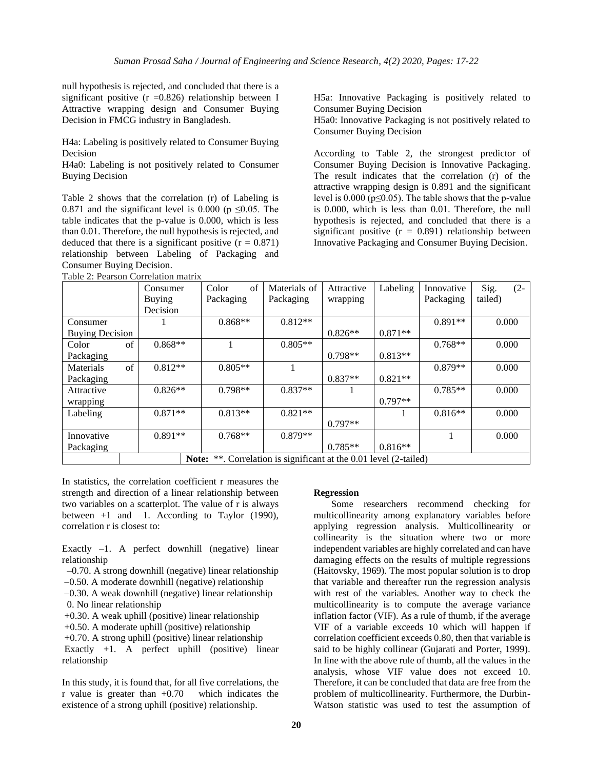null hypothesis is rejected, and concluded that there is a significant positive  $(r = 0.826)$  relationship between I Attractive wrapping design and Consumer Buying Decision in FMCG industry in Bangladesh.

H4a: Labeling is positively related to Consumer Buying Decision

H4a0: Labeling is not positively related to Consumer Buying Decision

Table 2 shows that the correlation (r) of Labeling is 0.871 and the significant level is 0.000 ( $p \le 0.05$ . The table indicates that the p-value is 0.000, which is less than 0.01. Therefore, the null hypothesis is rejected, and deduced that there is a significant positive  $(r = 0.871)$ relationship between Labeling of Packaging and Consumer Buying Decision.

Table 2: Pearson Correlation matrix

H5a: Innovative Packaging is positively related to Consumer Buying Decision H5a0: Innovative Packaging is not positively related to

Consumer Buying Decision

According to Table 2, the strongest predictor of Consumer Buying Decision is Innovative Packaging. The result indicates that the correlation (r) of the attractive wrapping design is 0.891 and the significant level is  $0.000$  ( $p \le 0.05$ ). The table shows that the p-value is 0.000, which is less than 0.01. Therefore, the null hypothesis is rejected, and concluded that there is a significant positive  $(r = 0.891)$  relationship between Innovative Packaging and Consumer Buying Decision.

|                                                                   | Consumer  | of<br>Color | Materials of | Attractive | Labeling  | Innovative | $(2 -$<br>Sig. |  |  |
|-------------------------------------------------------------------|-----------|-------------|--------------|------------|-----------|------------|----------------|--|--|
|                                                                   | Buying    | Packaging   | Packaging    | wrapping   |           | Packaging  | tailed)        |  |  |
|                                                                   | Decision  |             |              |            |           |            |                |  |  |
| Consumer                                                          |           | $0.868**$   | $0.812**$    |            |           | $0.891**$  | 0.000          |  |  |
| <b>Buying Decision</b>                                            |           |             |              | $0.826**$  | $0.871**$ |            |                |  |  |
| of<br>Color                                                       | $0.868**$ |             | $0.805**$    |            |           | $0.768**$  | 0.000          |  |  |
| Packaging                                                         |           |             |              | $0.798**$  | $0.813**$ |            |                |  |  |
| of<br>Materials                                                   | $0.812**$ | $0.805**$   |              |            |           | $0.879**$  | 0.000          |  |  |
| Packaging                                                         |           |             |              | $0.837**$  | $0.821**$ |            |                |  |  |
| Attractive                                                        | $0.826**$ | $0.798**$   | $0.837**$    |            |           | $0.785**$  | 0.000          |  |  |
| wrapping                                                          |           |             |              |            | $0.797**$ |            |                |  |  |
| Labeling                                                          | $0.871**$ | $0.813**$   | $0.821**$    |            |           | $0.816**$  | 0.000          |  |  |
|                                                                   |           |             |              | $0.797**$  |           |            |                |  |  |
| Innovative                                                        | $0.891**$ | $0.768**$   | $0.879**$    |            |           |            | 0.000          |  |  |
| Packaging                                                         |           |             |              | $0.785**$  | $0.816**$ |            |                |  |  |
| Note: **. Correlation is significant at the 0.01 level (2-tailed) |           |             |              |            |           |            |                |  |  |

In statistics, the correlation coefficient r measures the strength and direction of a linear relationship between two variables on a scatterplot. The value of r is always between  $+1$  and  $-1$ . According to Taylor (1990), correlation r is closest to:

Exactly  $-1$ . A perfect downhill (negative) linear relationship

- –0.70. A strong downhill (negative) linear relationship
- –0.50. A moderate downhill (negative) relationship
- –0.30. A weak downhill (negative) linear relationship 0. No linear relationship
- +0.30. A weak uphill (positive) linear relationship

+0.50. A moderate uphill (positive) relationship

+0.70. A strong uphill (positive) linear relationship Exactly  $+1$ . A perfect uphill (positive) linear relationship

In this study, it is found that, for all five correlations, the r value is greater than  $+0.70$  which indicates the existence of a strong uphill (positive) relationship.

#### **Regression**

Some researchers recommend checking for multicollinearity among explanatory variables before applying regression analysis. Multicollinearity or collinearity is the situation where two or more independent variables are highly correlated and can have damaging effects on the results of multiple regressions (Haitovsky, 1969). The most popular solution is to drop that variable and thereafter run the regression analysis with rest of the variables. Another way to check the multicollinearity is to compute the average variance inflation factor (VIF). As a rule of thumb, if the average VIF of a variable exceeds 10 which will happen if correlation coefficient exceeds 0.80, then that variable is said to be highly collinear (Gujarati and Porter, 1999). In line with the above rule of thumb, all the values in the analysis, whose VIF value does not exceed 10. Therefore, it can be concluded that data are free from the problem of multicollinearity. Furthermore, the Durbin-Watson statistic was used to test the assumption of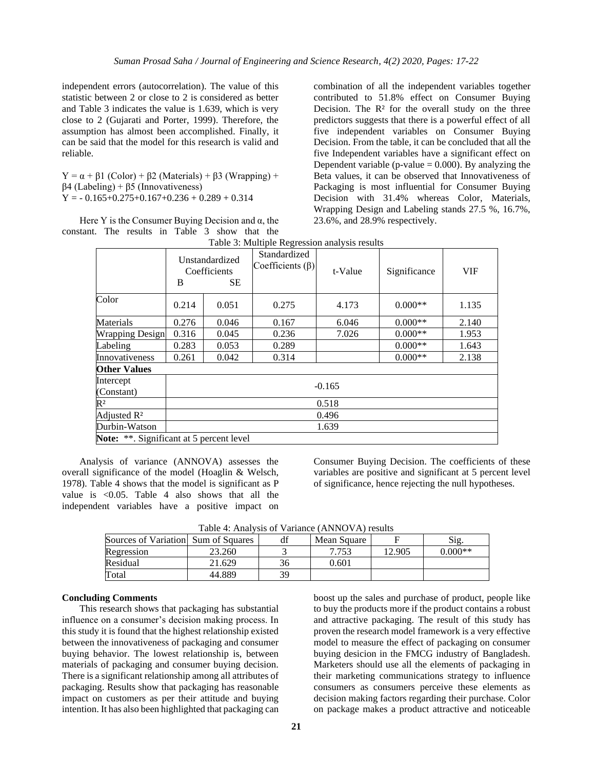independent errors (autocorrelation). The value of this statistic between 2 or close to 2 is considered as better and Table 3 indicates the value is 1.639, which is very close to 2 (Gujarati and Porter, 1999). Therefore, the assumption has almost been accomplished. Finally, it can be said that the model for this research is valid and reliable.

Y =  $\alpha$  + β1 (Color) + β2 (Materials) + β3 (Wrapping) + β4 (Labeling) + β5 (Innovativeness)  $Y = -0.165 + 0.275 + 0.167 + 0.236 + 0.289 + 0.314$ 

Here Y is the Consumer Buying Decision and  $\alpha$ , the constant. The results in Table 3 show that the combination of all the independent variables together contributed to 51.8% effect on Consumer Buying Decision. The  $\mathbb{R}^2$  for the overall study on the three predictors suggests that there is a powerful effect of all five independent variables on Consumer Buying Decision. From the table, it can be concluded that all the five Independent variables have a significant effect on Dependent variable (p-value  $= 0.000$ ). By analyzing the Beta values, it can be observed that Innovativeness of Packaging is most influential for Consumer Buying Decision with 31.4% whereas Color, Materials, Wrapping Design and Labeling stands 27.5 %, 16.7%, 23.6%, and 28.9% respectively.

|                                          | B        | Unstandardized<br>Coefficients<br>SE. | $\circ$<br>Standardized<br>Coefficients $(\beta)$ | t-Value | Significance | <b>VIF</b> |
|------------------------------------------|----------|---------------------------------------|---------------------------------------------------|---------|--------------|------------|
| Color                                    | 0.214    | 0.051                                 | 0.275                                             | 4.173   | $0.000**$    | 1.135      |
| Materials                                | 0.276    | 0.046                                 | 0.167                                             | 6.046   | $0.000**$    | 2.140      |
| <b>Wrapping Design</b>                   | 0.316    | 0.045                                 | 0.236                                             | 7.026   | $0.000**$    | 1.953      |
| Labeling                                 | 0.283    | 0.053                                 | 0.289                                             |         | $0.000**$    | 1.643      |
| Innovativeness                           | 0.261    | 0.042                                 | 0.314                                             |         | $0.000**$    | 2.138      |
| <b>Other Values</b>                      |          |                                       |                                                   |         |              |            |
| Intercept                                |          |                                       |                                                   |         |              |            |
| (Constant)                               | $-0.165$ |                                       |                                                   |         |              |            |
| $R^2$                                    | 0.518    |                                       |                                                   |         |              |            |
| Adjusted R <sup>2</sup>                  | 0.496    |                                       |                                                   |         |              |            |
| Durbin-Watson                            | 1.639    |                                       |                                                   |         |              |            |
| Note: **. Significant at 5 percent level |          |                                       |                                                   |         |              |            |

Table 3: Multiple Regression analysis results

Analysis of variance (ANNOVA) assesses the overall significance of the model (Hoaglin & Welsch, 1978). Table 4 shows that the model is significant as P value is <0.05. Table 4 also shows that all the independent variables have a positive impact on Consumer Buying Decision. The coefficients of these variables are positive and significant at 5 percent level of significance, hence rejecting the null hypotheses.

| Sources of Variation Sum of Squares |        | df | Mean Square |        | Sig.      |
|-------------------------------------|--------|----|-------------|--------|-----------|
| Regression                          | 23.260 |    | 7.753       | 12.905 | $0.000**$ |
| Residual                            | 21.629 |    | 0.601       |        |           |
| Total                               | 44.889 | 39 |             |        |           |

Table 4: Analysis of Variance (ANNOVA) results

## **Concluding Comments**

This research shows that packaging has substantial influence on a consumer's decision making process. In this study it is found that the highest relationship existed between the innovativeness of packaging and consumer buying behavior. The lowest relationship is, between materials of packaging and consumer buying decision. There is a significant relationship among all attributes of packaging. Results show that packaging has reasonable impact on customers as per their attitude and buying intention. It has also been highlighted that packaging can boost up the sales and purchase of product, people like to buy the products more if the product contains a robust and attractive packaging. The result of this study has proven the research model framework is a very effective model to measure the effect of packaging on consumer buying desicion in the FMCG industry of Bangladesh. Marketers should use all the elements of packaging in their marketing communications strategy to influence consumers as consumers perceive these elements as decision making factors regarding their purchase. Color on package makes a product attractive and noticeable